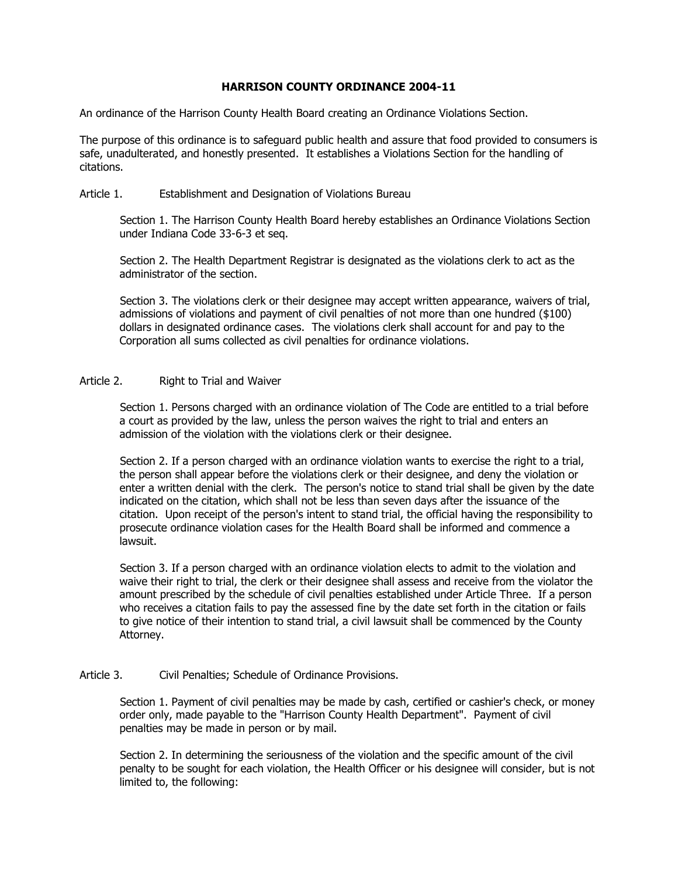## **HARRISON COUNTY ORDINANCE 2004-11**

An ordinance of the Harrison County Health Board creating an Ordinance Violations Section.

The purpose of this ordinance is to safeguard public health and assure that food provided to consumers is safe, unadulterated, and honestly presented. It establishes a Violations Section for the handling of citations.

## Article 1. Establishment and Designation of Violations Bureau

Section 1. The Harrison County Health Board hereby establishes an Ordinance Violations Section under Indiana Code 33-6-3 et seq.

Section 2. The Health Department Registrar is designated as the violations clerk to act as the administrator of the section.

Section 3. The violations clerk or their designee may accept written appearance, waivers of trial, admissions of violations and payment of civil penalties of not more than one hundred (\$100) dollars in designated ordinance cases. The violations clerk shall account for and pay to the Corporation all sums collected as civil penalties for ordinance violations.

## Article 2. Right to Trial and Waiver

Section 1. Persons charged with an ordinance violation of The Code are entitled to a trial before a court as provided by the law, unless the person waives the right to trial and enters an admission of the violation with the violations clerk or their designee.

Section 2. If a person charged with an ordinance violation wants to exercise the right to a trial, the person shall appear before the violations clerk or their designee, and deny the violation or enter a written denial with the clerk. The person's notice to stand trial shall be given by the date indicated on the citation, which shall not be less than seven days after the issuance of the citation. Upon receipt of the person's intent to stand trial, the official having the responsibility to prosecute ordinance violation cases for the Health Board shall be informed and commence a lawsuit.

Section 3. If a person charged with an ordinance violation elects to admit to the violation and waive their right to trial, the clerk or their designee shall assess and receive from the violator the amount prescribed by the schedule of civil penalties established under Article Three. If a person who receives a citation fails to pay the assessed fine by the date set forth in the citation or fails to give notice of their intention to stand trial, a civil lawsuit shall be commenced by the County Attorney.

## Article 3. Civil Penalties; Schedule of Ordinance Provisions.

Section 1. Payment of civil penalties may be made by cash, certified or cashier's check, or money order only, made payable to the "Harrison County Health Department". Payment of civil penalties may be made in person or by mail.

Section 2. In determining the seriousness of the violation and the specific amount of the civil penalty to be sought for each violation, the Health Officer or his designee will consider, but is not limited to, the following: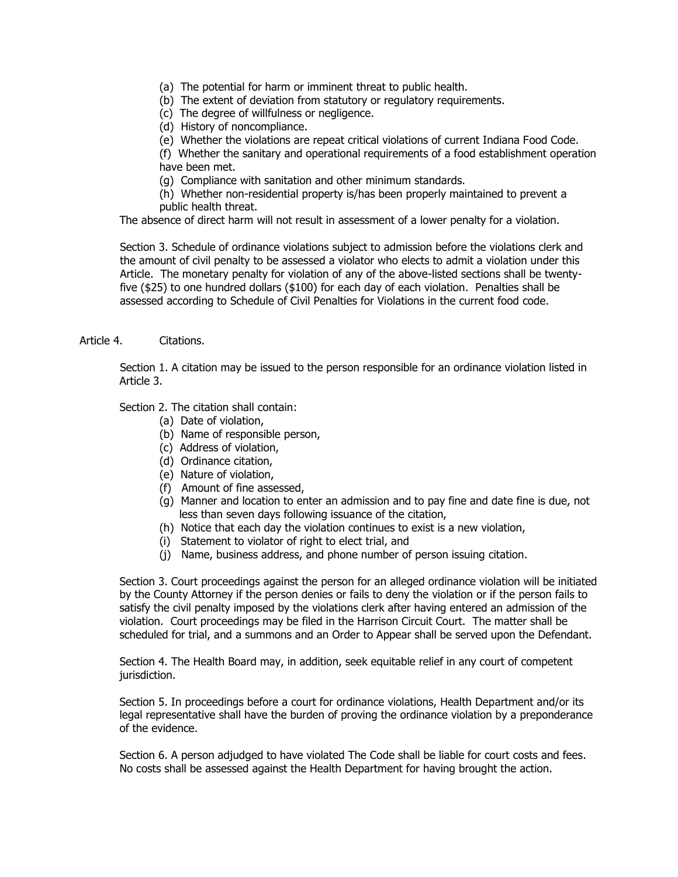- (a) The potential for harm or imminent threat to public health.
- (b) The extent of deviation from statutory or regulatory requirements.
- (c) The degree of willfulness or negligence.
- (d) History of noncompliance.
- (e) Whether the violations are repeat critical violations of current Indiana Food Code.

(f) Whether the sanitary and operational requirements of a food establishment operation have been met.

(g) Compliance with sanitation and other minimum standards.

(h) Whether non-residential property is/has been properly maintained to prevent a public health threat.

The absence of direct harm will not result in assessment of a lower penalty for a violation.

Section 3. Schedule of ordinance violations subject to admission before the violations clerk and the amount of civil penalty to be assessed a violator who elects to admit a violation under this Article. The monetary penalty for violation of any of the above-listed sections shall be twentyfive (\$25) to one hundred dollars (\$100) for each day of each violation. Penalties shall be assessed according to Schedule of Civil Penalties for Violations in the current food code.

Article 4. Citations.

Section 1. A citation may be issued to the person responsible for an ordinance violation listed in Article 3.

Section 2. The citation shall contain:

- (a) Date of violation,
- (b) Name of responsible person,
- (c) Address of violation,
- (d) Ordinance citation,
- (e) Nature of violation,
- (f) Amount of fine assessed,
- (g) Manner and location to enter an admission and to pay fine and date fine is due, not less than seven days following issuance of the citation,
- (h) Notice that each day the violation continues to exist is a new violation,
- (i) Statement to violator of right to elect trial, and
- (j) Name, business address, and phone number of person issuing citation.

Section 3. Court proceedings against the person for an alleged ordinance violation will be initiated by the County Attorney if the person denies or fails to deny the violation or if the person fails to satisfy the civil penalty imposed by the violations clerk after having entered an admission of the violation. Court proceedings may be filed in the Harrison Circuit Court. The matter shall be scheduled for trial, and a summons and an Order to Appear shall be served upon the Defendant.

Section 4. The Health Board may, in addition, seek equitable relief in any court of competent jurisdiction.

Section 5. In proceedings before a court for ordinance violations, Health Department and/or its legal representative shall have the burden of proving the ordinance violation by a preponderance of the evidence.

Section 6. A person adjudged to have violated The Code shall be liable for court costs and fees. No costs shall be assessed against the Health Department for having brought the action.